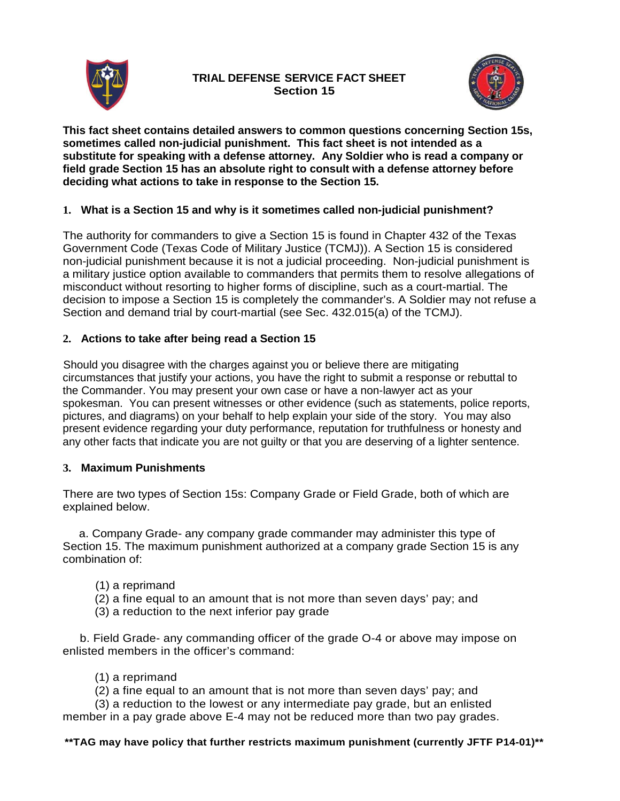

# **TRIAL DEFENSE SERVICE FACT SHEET Section 15**



**This fact sheet contains detailed answers to common questions concerning Section 15s, sometimes called non-judicial punishment. This fact sheet is not intended as a substitute for speaking with a defense attorney. Any Soldier who is read a company or field grade Section 15 has an absolute right to consult with a defense attorney before deciding what actions to take in response to the Section 15.**

## **1. What is a Section 15 and why is it sometimes called non-judicial punishment?**

The authority for commanders to give a Section 15 is found in Chapter 432 of the Texas Government Code (Texas Code of Military Justice (TCMJ)). A Section 15 is considered non-judicial punishment because it is not a judicial proceeding. Non-judicial punishment is a military justice option available to commanders that permits them to resolve allegations of misconduct without resorting to higher forms of discipline, such as a court-martial. The decision to impose a Section 15 is completely the commander's. A Soldier may not refuse a Section and demand trial by court-martial (see Sec. 432.015(a) of the TCMJ).

### **2. Actions to take after being read a Section 15**

Should you disagree with the charges against you or believe there are mitigating circumstances that justify your actions, you have the right to submit a response or rebuttal to the Commander. You may present your own case or have a non-lawyer act as your spokesman. You can present witnesses or other evidence (such as statements, police reports, pictures, and diagrams) on your behalf to help explain your side of the story. You may also present evidence regarding your duty performance, reputation for truthfulness or honesty and any other facts that indicate you are not guilty or that you are deserving of a lighter sentence.

#### **3. Maximum Punishments**

There are two types of Section 15s: Company Grade or Field Grade, both of which are explained below.

 a. Company Grade- any company grade commander may administer this type of Section 15. The maximum punishment authorized at a company grade Section 15 is any combination of:

- (1) a reprimand
- (2) a fine equal to an amount that is not more than seven days' pay; and
- (3) a reduction to the next inferior pay grade

 b. Field Grade- any commanding officer of the grade O-4 or above may impose on enlisted members in the officer's command:

- (1) a reprimand
- (2) a fine equal to an amount that is not more than seven days' pay; and

(3) a reduction to the lowest or any intermediate pay grade, but an enlisted member in a pay grade above E-4 may not be reduced more than two pay grades.

**\*\*TAG may have policy that further restricts maximum punishment (currently JFTF P14-01)\*\***